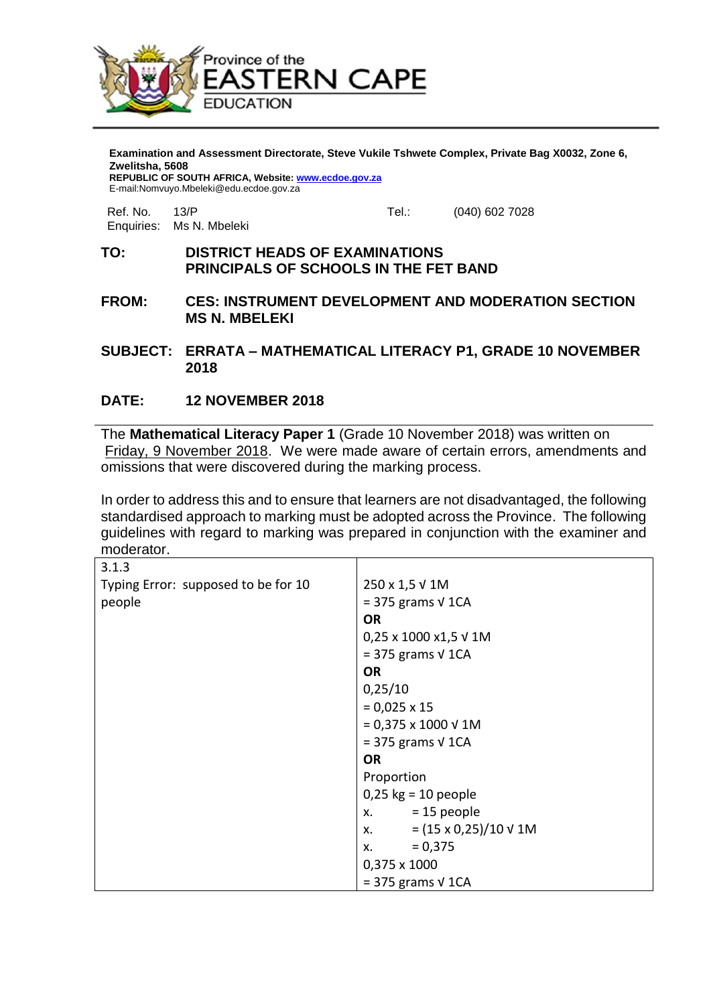

**Examination and Assessment Directorate, Steve Vukile Tshwete Complex, Private Bag X0032, Zone 6, Zwelitsha, 5608 REPUBLIC OF SOUTH AFRICA, Website[: www.ecdoe.gov.za](http://www.ecdoe.gov.za/)**

E-mail:Nomvuyo.Mbeleki@edu.ecdoe.gov.za

Enquiries: Ms N. Mbeleki

Ref. No. 23/P Tel.: (040) 602 7028

## **TO: DISTRICT HEADS OF EXAMINATIONS PRINCIPALS OF SCHOOLS IN THE FET BAND**

- **FROM: CES: INSTRUMENT DEVELOPMENT AND MODERATION SECTION MS N. MBELEKI**
- **SUBJECT: ERRATA – MATHEMATICAL LITERACY P1, GRADE 10 NOVEMBER 2018**

## **DATE: 12 NOVEMBER 2018**

The **Mathematical Literacy Paper 1** (Grade 10 November 2018) was written on Friday, 9 November 2018. We were made aware of certain errors, amendments and omissions that were discovered during the marking process.

In order to address this and to ensure that learners are not disadvantaged, the following standardised approach to marking must be adopted across the Province. The following guidelines with regard to marking was prepared in conjunction with the examiner and moderator.

| 3.1.3                               |                                      |
|-------------------------------------|--------------------------------------|
| Typing Error: supposed to be for 10 | 250 x 1,5 V 1M                       |
| people                              | $=$ 375 grams $\sqrt{1CA}$           |
|                                     | <b>OR</b>                            |
|                                     | 0,25 x 1000 x1,5 V 1M                |
|                                     | $=$ 375 grams $\sqrt{1CA}$           |
|                                     | <b>OR</b>                            |
|                                     | 0,25/10                              |
|                                     | $= 0,025 \times 15$                  |
|                                     | $= 0,375 \times 1000 \sqrt{1}$ M     |
|                                     | $=$ 375 grams $\sqrt{1CA}$           |
|                                     | <b>OR</b>                            |
|                                     | Proportion                           |
|                                     | $0,25$ kg = 10 people                |
|                                     | $x. = 15$ people                     |
|                                     | x. $= (15 \times 0.25)/10 \sqrt{1M}$ |
|                                     | $x. = 0,375$                         |
|                                     | 0,375 x 1000                         |
|                                     | $=$ 375 grams $\sqrt{1CA}$           |